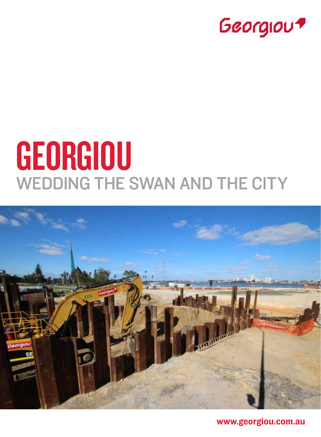

# **GEORGIOU** Wedding the Swan and the City



www.georgiou.com.au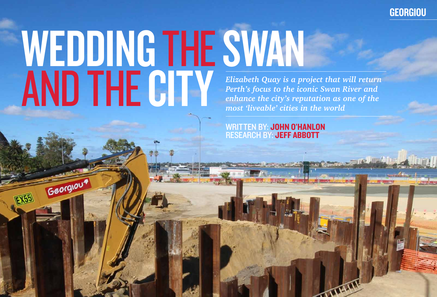## *Elizabeth Quay is a project that will return Perth's focus to the iconic Swan River and enhance the city's reputation as one of the most 'liveable' cities in the world* WEDDING THE SWAN AND THE CITY

Georgiau

written by: John O'Hanlon RESEARCH BY: JEFF ABBOTT

### **GEORGIOU**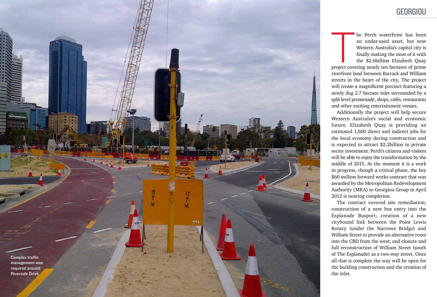Complex traffic management was required around Riverside Drive

ew Esplanade Re

 $\frac{Q}{T}$ 

M

**MTS** 

The Perth waterfront has been<br>
an under-used asset, but now<br>
Western Australia's capital city is<br>
finally making the most of it with<br>
the \$2.6billion Elizabeth Quay<br>
project covering nearly ten hectares of prime an under-used asset, but now Western Australia's capital city is finally making the most of it with the \$2.6billion Elizabeth Quay

riverfront land between Barrack and William streets in the heart of the city. The project will create a magnificent precinct featuring a newly dug 2.7 hectare inlet surrounded by a split level promenade, shops, cafés, restaurants and other exciting entertainment venues.

Additionally the project will help secure Western Australia's social and economic future. Elizabeth Quay is providing an estimated 1,600 direct and indirect jobs for the local economy during construction and is expected to attract \$2.2billion in private sector investment. Perth's citizens and visitors will be able to enjoy the transformation by the middle of 2015. At the moment it is a work in progress, though a critical phase, the key \$60 million forward works contract that was awarded by the Metropolitan Redevelopment Authority (MRA) to Georgiou Group in April 2012 is nearing completion.

The contract covered site remediation; construction of a new bus entry into the Esplanade Busport; creation of a new citybound link between the Point Lewis Rotary (under the Narrows Bridge) and William Street to provide an alternative route into the CBD from the west; and closure and full reconstruction of William Street (south of The Esplanade) as a two-way street. Once all that is complete the way will be open for the building construction and the creation of the inlet.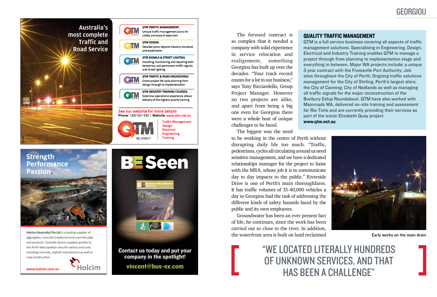The forward contract is so complex that it needed a company with solid experience in service relocation and realignment, something Georgiou has built up over the decades. "Your track record counts for a lot in our business," says Tony Ricciardello, Group Project Manager. However no two projects are alike, and apart from being a big one even for Georgiou there were a whole host of unique challenges to be faced.

The biggest was the need

Groundwater has been an ever present fact of life, he continues, since the work has been carried out so close to the river. In addition, the waterfront area is built on land reclaimed Early works on the main drain

to be working in the centre of Perth without disrupting daily life too much. "Traffic, pedestrians, cycles all circulating around us need sensitive management, and we have a dedicated relationships manager for the project to liaise with the MRA, whose job it is to communicate day to day impacts to the public." Riverside Drive is one of Perth's main thoroughfares. It has traffic volumes of 35-40,000 vehicles a day so Georgiou had the task of addressing the different kinds of safety hazards faced by the public and its own employees.

#### Georgiou

#### Quality Traffic Management

QTM is a full service business covering all aspects of traffic management solutions. Specialising in Engineering, Design, Electrical and Industry Training enables QTM to manage a project through from planning to implementation stage and everything in between. Major WA projects include; a unique 3 year contract with the Fremantle Port Authority; Job sites throughout the City of Perth; Ongoing traffic solutions management for the City of Stirling, Perth's largest shire; the City of Canning; City of Nedlands as well as managing all traffic signals for the major reconstruction of the Bunbury Eelup Roundabout. QTM have also worked with Mainroads WA, delivered on-site training and assessment for Rio Tinto and are currently providing their services as part of the iconic Elizabeth Quay project.





www.qtm.net.au

**Holcim (Australia) Pty Ltd** is a leading supplier of aggregates, concrete (readymix) and concrete pipe and products. Gosnells Quarry supplies granite to the Perth Metropolitan area for various end uses including concrete, asphalt manufacture as well as

road construction.





**Strength. Performance. Passion.**

vincent@bus-ex.com





**OTM TRAFFIC MANAGEMENT:** Unique traffic management plans for

Contact us today and put your company in the spotlight!

"We located literally hundreds of unknown services, and that has been a challenge"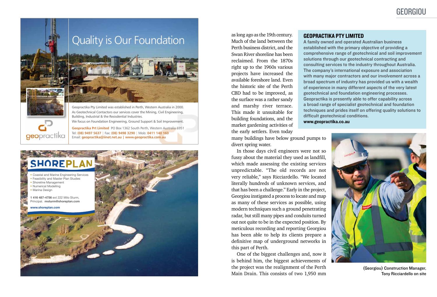**Geopractika Prt Limited** PO Box 1362 South Perth, Western Australia 6951 Tel: **(08) 9497 5637** | Fax: **(08) 9498 3290** | Mob: **0411 140 160**  Email: **geopractika@iinet.net.au | www.geopractika.com.au**



Building, Industrial & the Resisdential Industries.

We focus on Foundation Engineering, Ground Support & Soil Improvement.



geopractika

as long ago as the 19th century. Much of the land between the Perth business district, and the Swan River shoreline has been reclaimed. From the 1870s right up to the 1960s various projects have increased the available foreshore land. Even the historic site of the Perth CBD had to be improved, as the surface was a rather sandy and marshy river terrace. This made it unsuitable for building foundations, and the market gardening activities of the early settlers. Even today

many buildings have below ground pumps to divert spring water.

In those days civil engineers were not so fussy about the material they used as landfill, which made assessing the existing services unpredictable. "The old records are not very reliable," says Ricciardello. "We located literally hundreds of unknown services, and that has been a challenge." Early in the project, Georgiou instigated a process to locate and map as many of these services as possible, using modern techniques such a ground penetrating radar, but still many pipes and conduits turned out not quite to be in the expected position. By meticulous recording and reporting Georgiou has been able to help its clients prepare a definitive map of underground networks in this part of Perth.

One of the biggest challenges and, now it is behind him, the biggest achievements of the project was the realignment of the Perth Main Drain. This consists of two 1,950 mm

(Georgiou) Construction Manager, Tony Ricciardello on site

### Georgiou

#### GEOPRACTIKA PTY LIMITED

A family owned and operated Australian business established with the primary objective of providing a comprehensive range of geotechnical and soil improvement solutions through our geotechnical contracting and consulting services to the industry throughout Australia. The company's international exposure and association with many major contractors and our involvement across a broad spectrum of industry has provided us with a wealth of experience in many different aspects of the very latest geotechnical and foundation engineering processes. Geopractika is presently able to offer capability across a broad range of specialist geotechnical and foundation techniques and prides itself on offering quality solutions to difficult geotechnical conditions. www.geopractika.co.au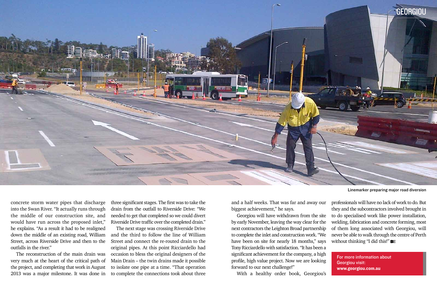concrete storm water pipes that discharge into the Swan River. "It actually runs through the middle of our construction site, and would have run across the proposed inlet," he explains. "As a result it had to be realigned down the middle of an existing road, William Street, across Riverside Drive and then to the outfalls in the river."

The reconstruction of the main drain was very much at the heart of the critical path of the project, and completing that work in August 2013 was a major milestone. It was done in three significant stages. The first was to take the drain from the outfall to Riverside Drive: "We needed to get that completed so we could divert Riverside Drive traffic over the completed drain."

professionals will have no lack of work to do. But they and the subcontractors involved brought in to do specialised work like power installation, welding, fabrication and concrete forming, most of them long associated with Georgiou, will never be able to walk through the centre of Perth without thinking "I did this!" **BE** 

The next stage was crossing Riverside Drive and the third to follow the line of William Street and connect the re-routed drain to the original pipes. At this point Ricciardello had occasion to bless the original designers of the Main Drain – the twin drains made it possible to isolate one pipe at a time. "That operation to complete the connections took about three

and a half weeks. That was far and away our biggest achievement," he says.

Georgiou will have withdrawn from the site by early November, leaving the way clear for the next contractors the Leighton Broad partnership to complete the inlet and construction work. "We have been on site for nearly 18 months," says Tony Ricciardello with satisfaction. "It has been a significant achievement for the company, a high profile, high value project. Now we are looking forward to our next challenge!"

With a healthy order book, Georgiou's

Linemarker preparing major road diversion



For more information about Georgiou visit: www.georgiou.com.au